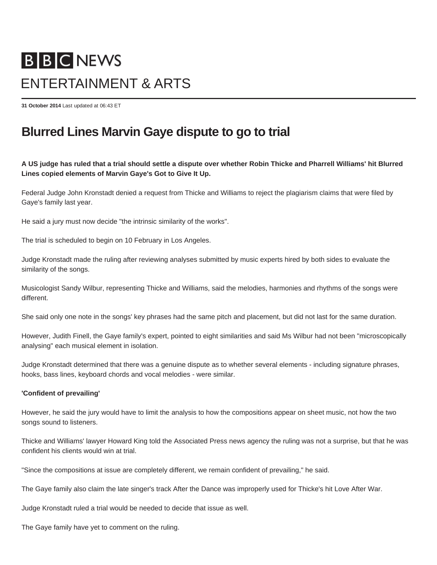# **BBCNEWS** ENTERTAINMENT & ARTS

**31 October 2014** Last updated at 06:43 ET

## **Blurred Lines Marvin Gaye dispute to go to trial**

**A US judge has ruled that a trial should settle a dispute over whether Robin Thicke and Pharrell Williams' hit Blurred Lines copied elements of Marvin Gaye's Got to Give It Up.**

Federal Judge John Kronstadt denied a request from Thicke and Williams to reject the plagiarism claims that were filed by Gaye's family last year.

He said a jury must now decide "the intrinsic similarity of the works".

The trial is scheduled to begin on 10 February in Los Angeles.

Judge Kronstadt made the ruling after reviewing analyses submitted by music experts hired by both sides to evaluate the similarity of the songs.

Musicologist Sandy Wilbur, representing Thicke and Williams, said the melodies, harmonies and rhythms of the songs were different.

She said only one note in the songs' key phrases had the same pitch and placement, but did not last for the same duration.

However, Judith Finell, the Gaye family's expert, pointed to eight similarities and said Ms Wilbur had not been "microscopically analysing" each musical element in isolation.

Judge Kronstadt determined that there was a genuine dispute as to whether several elements - including signature phrases, hooks, bass lines, keyboard chords and vocal melodies - were similar.

#### **'Confident of prevailing'**

However, he said the jury would have to limit the analysis to how the compositions appear on sheet music, not how the two songs sound to listeners.

Thicke and Williams' lawyer Howard King told the Associated Press news agency the ruling was not a surprise, but that he was confident his clients would win at trial.

"Since the compositions at issue are completely different, we remain confident of prevailing," he said.

The Gaye family also claim the late singer's track After the Dance was improperly used for Thicke's hit Love After War.

Judge Kronstadt ruled a trial would be needed to decide that issue as well.

The Gaye family have yet to comment on the ruling.